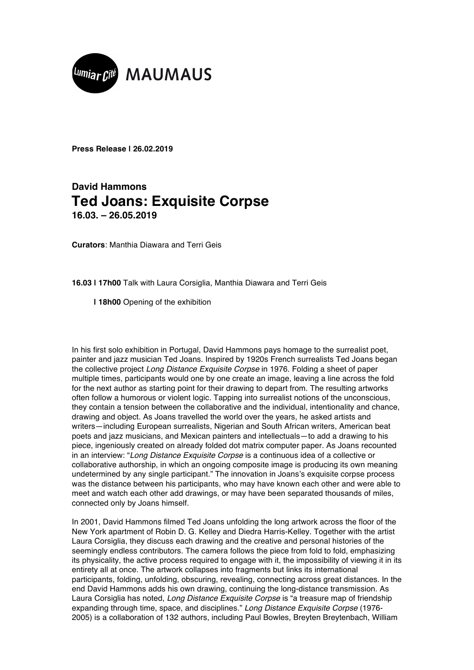

**Press Release | 26.02.2019**

## **David Hammons Ted Joans: Exquisite Corpse 16.03. – 26.05.2019**

**Curators**: Manthia Diawara and Terri Geis

**16.03 | 17h00** Talk with Laura Corsiglia, Manthia Diawara and Terri Geis

 **| 18h00** Opening of the exhibition

In his first solo exhibition in Portugal, David Hammons pays homage to the surrealist poet, painter and jazz musician Ted Joans. Inspired by 1920s French surrealists Ted Joans began the collective project *Long Distance Exquisite Corpse* in 1976. Folding a sheet of paper multiple times, participants would one by one create an image, leaving a line across the fold for the next author as starting point for their drawing to depart from. The resulting artworks often follow a humorous or violent logic. Tapping into surrealist notions of the unconscious, they contain a tension between the collaborative and the individual, intentionality and chance, drawing and object. As Joans travelled the world over the years, he asked artists and writers—including European surrealists, Nigerian and South African writers, American beat poets and jazz musicians, and Mexican painters and intellectuals—to add a drawing to his piece, ingeniously created on already folded dot matrix computer paper. As Joans recounted in an interview: "*Long Distance Exquisite Corpse* is a continuous idea of a collective or collaborative authorship, in which an ongoing composite image is producing its own meaning undetermined by any single participant." The innovation in Joans's exquisite corpse process was the distance between his participants, who may have known each other and were able to meet and watch each other add drawings, or may have been separated thousands of miles, connected only by Joans himself.

In 2001, David Hammons filmed Ted Joans unfolding the long artwork across the floor of the New York apartment of Robin D. G. Kelley and Diedra Harris-Kelley. Together with the artist Laura Corsiglia, they discuss each drawing and the creative and personal histories of the seemingly endless contributors. The camera follows the piece from fold to fold, emphasizing its physicality, the active process required to engage with it, the impossibility of viewing it in its entirety all at once. The artwork collapses into fragments but links its international participants, folding, unfolding, obscuring, revealing, connecting across great distances. In the end David Hammons adds his own drawing, continuing the long-distance transmission. As Laura Corsiglia has noted, *Long Distance Exquisite Corpse* is "a treasure map of friendship expanding through time, space, and disciplines." *Long Distance Exquisite Corpse* (1976- 2005) is a collaboration of 132 authors, including Paul Bowles, Breyten Breytenbach, William